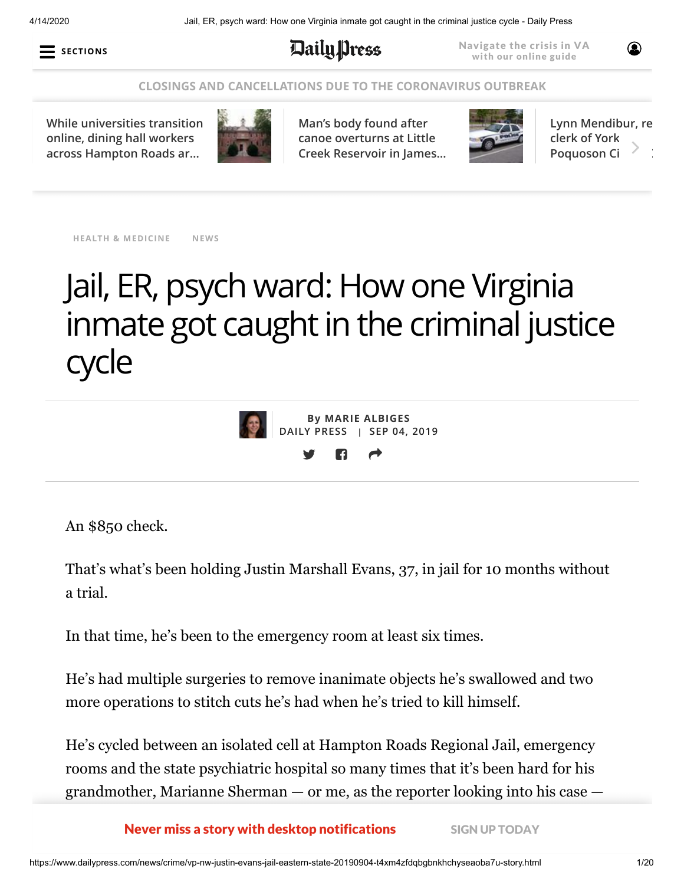4/14/2020 Jail, ER, psych ward: How one Virginia inmate got caught in the criminal justice cycle - Daily Press



**Daily press** 

Navigate the crisis in VA with our online guide

#### **[CLOSINGS AND CANCELLATIONS DUE TO THE CORONAVIRUS OUTBREAK](https://www.dailypress.com/news/health/vp-nw-coronavirus-closings-file-20200312-tdw7d3bdjvaspd422kv247rz34-story.html#nt=screamer)**

**[While universities transition](https://www.dailypress.com/news/education/dp-nw-coronavirus-dining-hall-workers-20200414-trksfqcoondyrmqty5at2malbe-story.html#nt=tertiarynavbar&nt=ticker) online, dining hall workers across Hampton Roads ar…**



**Man's body found after canoe overturns at Little [Creek Reservoir in James…](https://www.dailypress.com/virginiagazette/news/va-vg-canoers-body-found-20200414-ufuweuss4vhrxi7b2thyyhboam-story.html#nt=tertiarynavbar&nt=ticker)**



**[Lynn Mendibur, re](https://www.dailypress.com/virginiagazette/va-vg-lynn-mendibur-20200414-ajtstkvf7jbmndohv7yz3bt7ay-story.html#nt=tertiarynavbar&nt=ticker) clerk of York Poquoson Ci** 

 $\circledcirc$ 

**HEALTH & [MEDICINE](https://www.dailypress.com/news/health/#nt=taxonomy-article) [NEWS](https://www.dailypress.com/news/#nt=taxonomy-article)**

# Jail, ER, psych ward: How one Virginia inmate got caught in the criminal justice cycle



**By MARIE [ALBIGES](https://www.dailypress.com/dp-marie-albiges-staff.html#nt=byline) DAILY PRESS | SEP 04, 2019**

An \$850 check.

That's what's been holding Justin Marshall Evans, 37, in jail for 10 months without a trial.

In that time, he's been to the emergency room at least six times.

He's had multiple surgeries to remove inanimate objects he's swallowed and two more operations to stitch cuts he's had when he's tried to kill himself.

He's cycled between an isolated cell at Hampton Roads Regional Jail, emergency rooms and the state psychiatric hospital so many times that it's been hard for his grandmother, Marianne Sherman — or me, as the reporter looking into his case —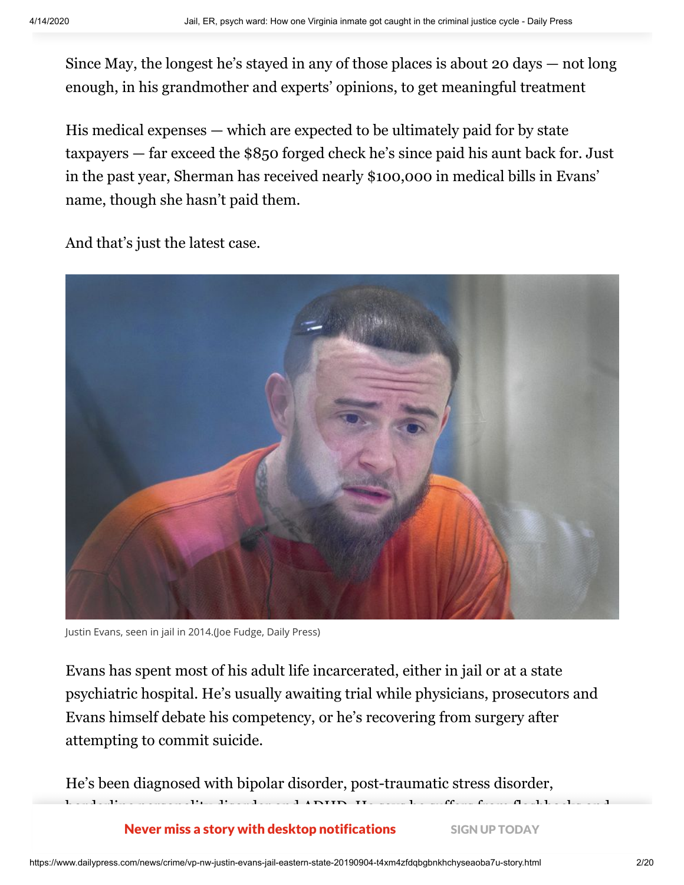Since May, the longest he's stayed in any of those places is about 20 days — not long enough, in his grandmother and experts' opinions, to get meaningful treatment

His medical expenses — which are expected to be ultimately paid for by state taxpayers — far exceed the \$850 forged check he's since paid his aunt back for. Just in the past year, Sherman has received nearly \$100,000 in medical bills in Evans' name, though she hasn't paid them.

And that's just the latest case.



Justin Evans, seen in jail in 2014.(Joe Fudge, Daily Press)

Evans has spent most of his adult life incarcerated, either in jail or at a state psychiatric hospital. He's usually awaiting trial while physicians, prosecutors and Evans himself debate his competency, or he's recovering from surgery after attempting to commit suicide.

borderline personality disorder and  $\alpha$  says he suffers from flags and  $\alpha$  suffers from flags and flags and flags and flags and flags and flags and flags and flags and flags and flags and flags and flags and flags and f

He's been diagnosed with bipolar disorder, post-traumatic stress disorder,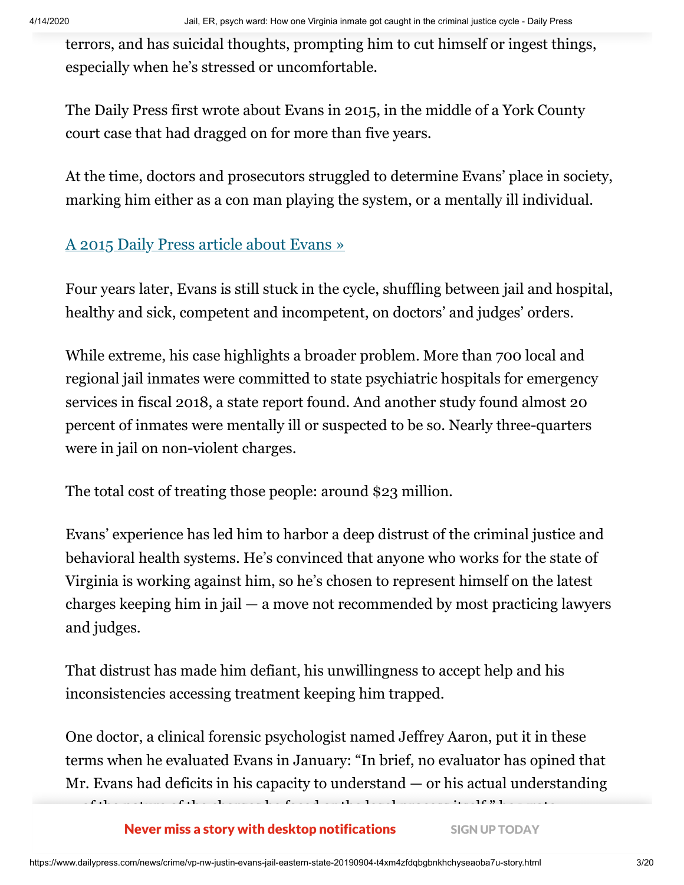terrors, and has suicidal thoughts, prompting him to cut himself or ingest things, especially when he's stressed or uncomfortable.

The Daily Press first wrote about Evans in 2015, in the middle of a York County court case that had dragged on for more than five years.

At the time, doctors and prosecutors struggled to determine Evans' place in society, marking him either as a con man playing the system, or a mentally ill individual.

### [A 2015 Daily Press article about Evans »](https://www.dailypress.com/news/crime/dp-nws-tst-justin-evans-20150503-story.html#nt=interstitial-manual)

Four years later, Evans is still stuck in the cycle, shuffling between jail and hospital, healthy and sick, competent and incompetent, on doctors' and judges' orders.

While extreme, his case highlights a broader problem. More than 700 local and regional jail inmates were committed to state psychiatric hospitals for emergency services in fiscal 2018, a state report found. And another study found almost 20 percent of inmates were mentally ill or suspected to be so. Nearly three-quarters were in jail on non-violent charges.

The total cost of treating those people: around \$23 million.

Evans' experience has led him to harbor a deep distrust of the criminal justice and behavioral health systems. He's convinced that anyone who works for the state of Virginia is working against him, so he's chosen to represent himself on the latest charges keeping him in jail — a move not recommended by most practicing lawyers and judges.

That distrust has made him defiant, his unwillingness to accept help and his inconsistencies accessing treatment keeping him trapped.

 $\mathcal{C}$  of the nature of the charges itself, itself, itself, itself, itself, itself, itself, itself, itself, itself, itself, itself, itself, itself, itself, itself, itself, itself, itself, itself, itself, itself, itself,

One doctor, a clinical forensic psychologist named Jeffrey Aaron, put it in these terms when he evaluated Evans in January: "In brief, no evaluator has opined that Mr. Evans had deficits in his capacity to understand  $-$  or his actual understanding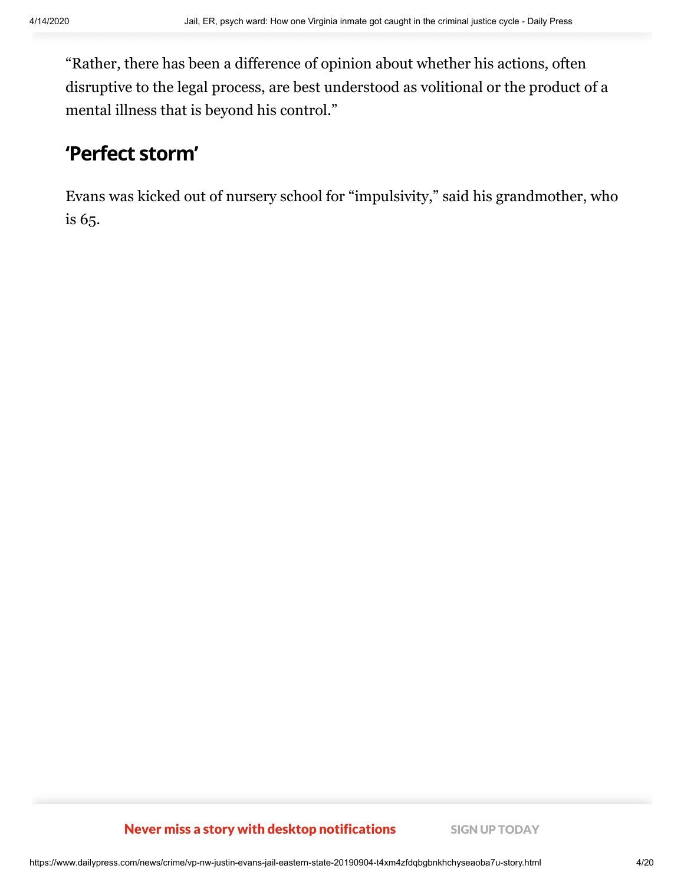"Rather, there has been a difference of opinion about whether his actions, often disruptive to the legal process, are best understood as volitional or the product of a mental illness that is beyond his control."

# **'Perfect storm'**

Evans was kicked out of nursery school for "impulsivity," said his grandmother, who is 65.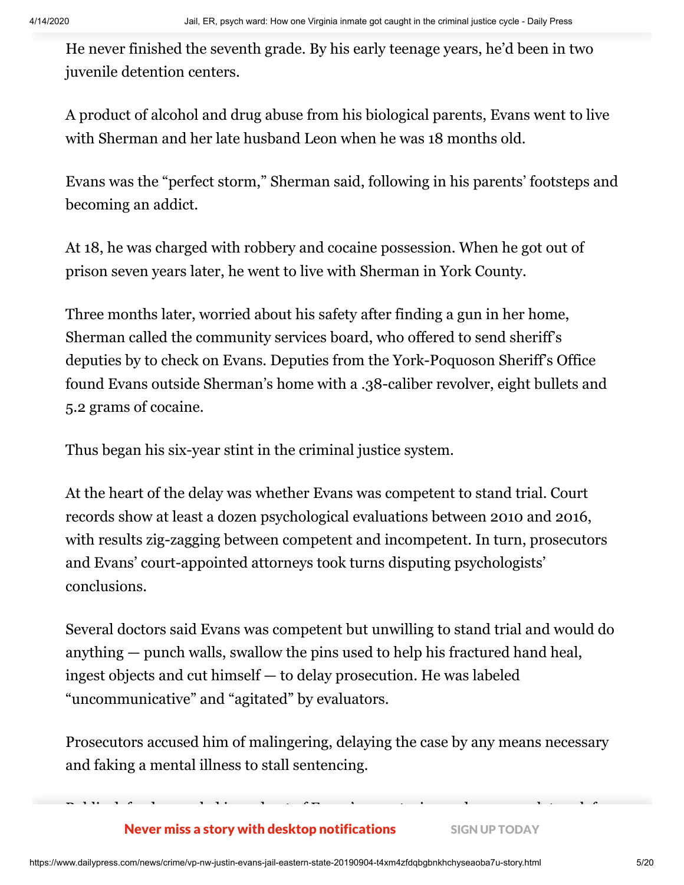He never finished the seventh grade. By his early teenage years, he'd been in two juvenile detention centers.

A product of alcohol and drug abuse from his biological parents, Evans went to live with Sherman and her late husband Leon when he was 18 months old.

Evans was the "perfect storm," Sherman said, following in his parents' footsteps and becoming an addict.

At 18, he was charged with robbery and cocaine possession. When he got out of prison seven years later, he went to live with Sherman in York County.

Three months later, worried about his safety after finding a gun in her home, Sherman called the community services board, who offered to send sheriff's deputies by to check on Evans. Deputies from the York-Poquoson Sheriff's Office found Evans outside Sherman's home with a .38-caliber revolver, eight bullets and 5.2 grams of cocaine.

Thus began his six-year stint in the criminal justice system.

At the heart of the delay was whether Evans was competent to stand trial. Court records show at least a dozen psychological evaluations between 2010 and 2016, with results zig-zagging between competent and incompetent. In turn, prosecutors and Evans' court-appointed attorneys took turns disputing psychologists' conclusions.

Several doctors said Evans was competent but unwilling to stand trial and would do anything — punch walls, swallow the pins used to help his fractured hand heal, ingest objects and cut himself — to delay prosecution. He was labeled "uncommunicative" and "agitated" by evaluators.

Prosecutors accused him of malingering, delaying the case by any means necessary and faking a mental illness to stall sentencing.

Public defenders cycled in and out of Evans' case, staying on long enough to ask for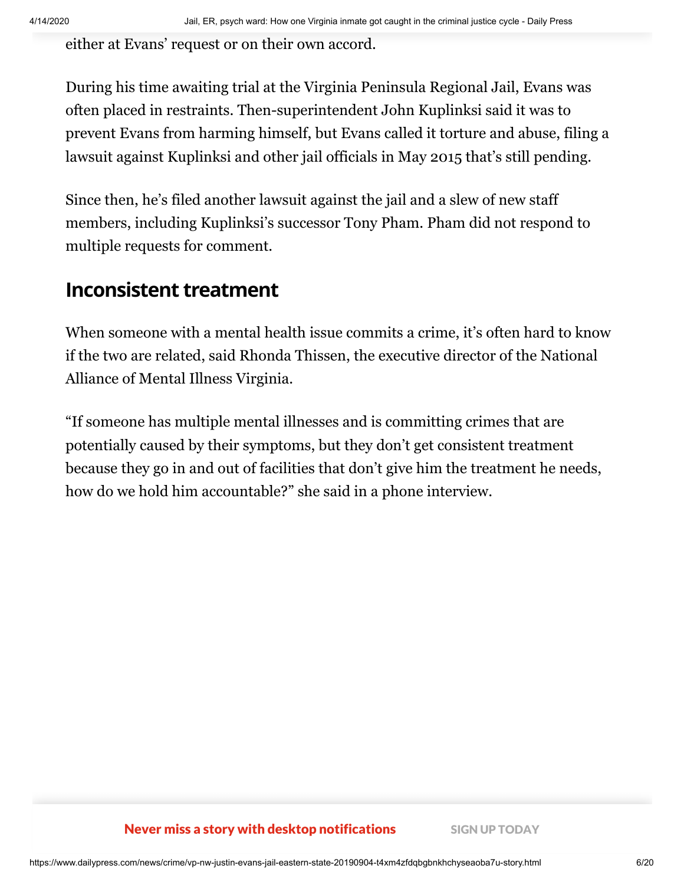either at Evans' request or on their own accord.

During his time awaiting trial at the Virginia Peninsula Regional Jail, Evans was often placed in restraints. Then-superintendent John Kuplinksi said it was to prevent Evans from harming himself, but Evans called it torture and abuse, filing a lawsuit against Kuplinksi and other jail officials in May 2015 that's still pending.

Since then, he's filed another lawsuit against the jail and a slew of new staff members, including Kuplinksi's successor Tony Pham. Pham did not respond to multiple requests for comment.

## **Inconsistent treatment**

When someone with a mental health issue commits a crime, it's often hard to know if the two are related, said Rhonda Thissen, the executive director of the National Alliance of Mental Illness Virginia.

"If someone has multiple mental illnesses and is committing crimes that are potentially caused by their symptoms, but they don't get consistent treatment because they go in and out of facilities that don't give him the treatment he needs, how do we hold him accountable?" she said in a phone interview.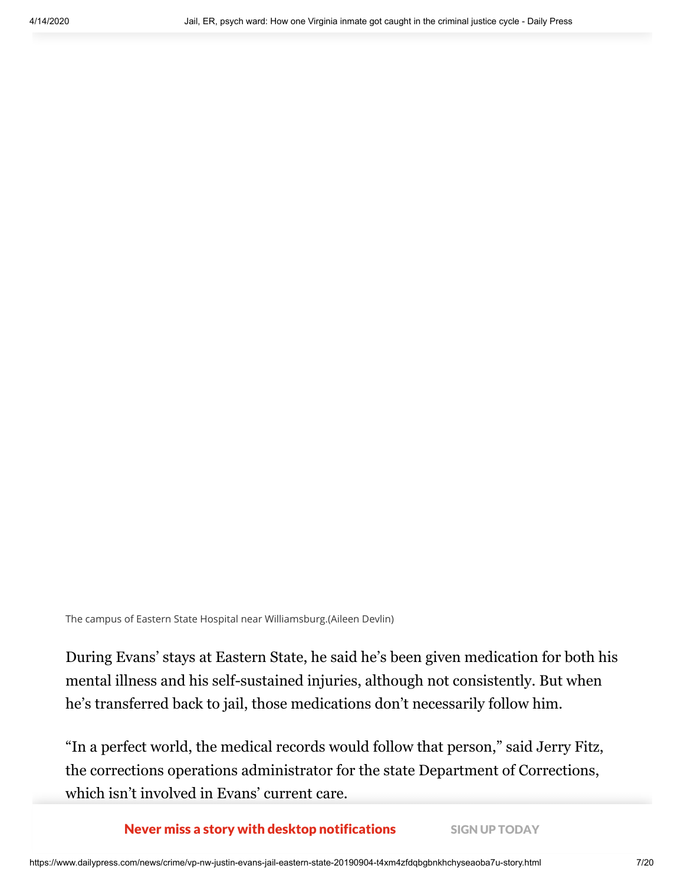The campus of Eastern State Hospital near Williamsburg.(Aileen Devlin)

During Evans' stays at Eastern State, he said he's been given medication for both his mental illness and his self-sustained injuries, although not consistently. But when he's transferred back to jail, those medications don't necessarily follow him.

"In a perfect world, the medical records would follow that person," said Jerry Fitz, the corrections operations administrator for the state Department of Corrections, which isn't involved in Evans' current care.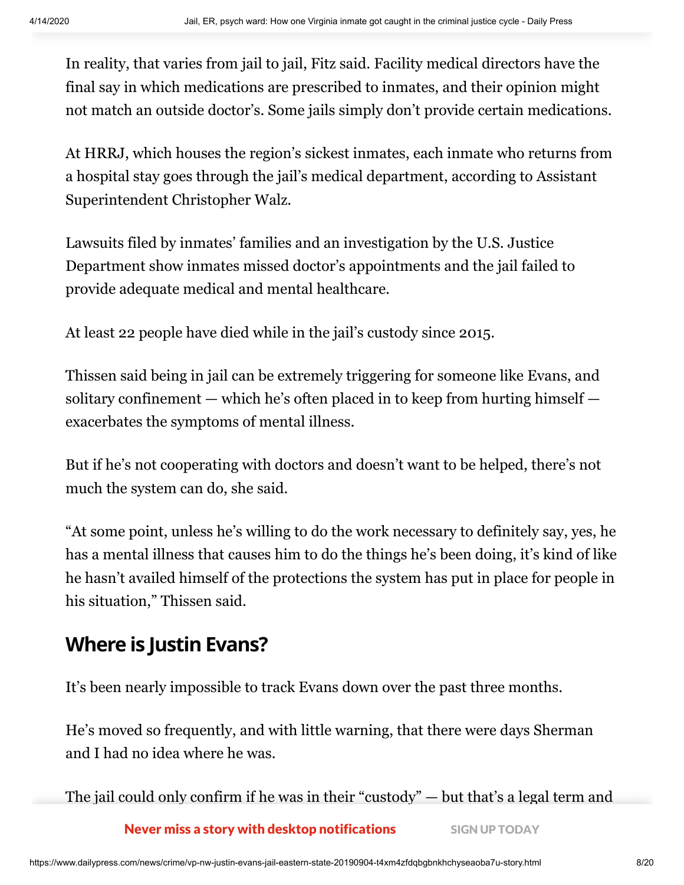In reality, that varies from jail to jail, Fitz said. Facility medical directors have the final say in which medications are prescribed to inmates, and their opinion might not match an outside doctor's. Some jails simply don't provide certain medications.

At HRRJ, which houses the region's sickest inmates, each inmate who returns from a hospital stay goes through the jail's medical department, according to Assistant Superintendent Christopher Walz.

Lawsuits filed by inmates' families and an investigation by the U.S. Justice Department show inmates missed doctor's appointments and the jail failed to provide adequate medical and mental healthcare.

At least 22 people have died while in the jail's custody since 2015.

Thissen said being in jail can be extremely triggering for someone like Evans, and solitary confinement — which he's often placed in to keep from hurting himself exacerbates the symptoms of mental illness.

But if he's not cooperating with doctors and doesn't want to be helped, there's not much the system can do, she said.

"At some point, unless he's willing to do the work necessary to definitely say, yes, he has a mental illness that causes him to do the things he's been doing, it's kind of like he hasn't availed himself of the protections the system has put in place for people in his situation," Thissen said.

# **Where is Justin Evans?**

It's been nearly impossible to track Evans down over the past three months.

He's moved so frequently, and with little warning, that there were days Sherman and I had no idea where he was.

The jail could only confirm if he was in their "custody" — but that's a legal term and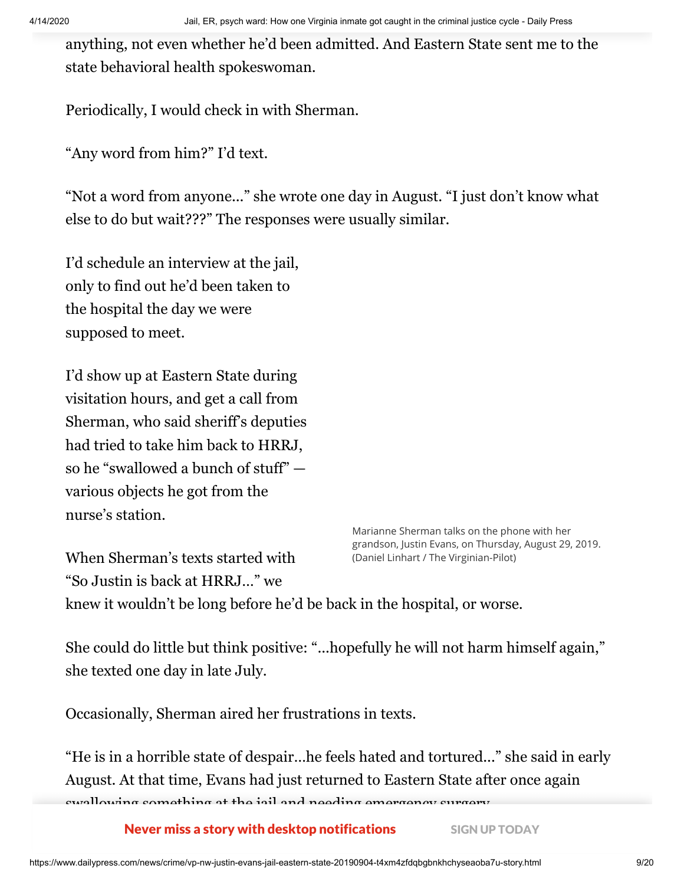anything, not even whether he'd been admitted. And Eastern State sent me to the state behavioral health spokeswoman.

Periodically, I would check in with Sherman.

"Any word from him?" I'd text.

"Not a word from anyone..." she wrote one day in August. "I just don't know what else to do but wait???" The responses were usually similar.

I'd schedule an interview at the jail, only to find out he'd been taken to the hospital the day we were supposed to meet.

I'd show up at Eastern State during visitation hours, and get a call from Sherman, who said sheriff's deputies had tried to take him back to HRRJ, so he "swallowed a bunch of stuff" various objects he got from the nurse's station.

When Sherman's texts started with

"So Justin is back at HRRJ…" we

Marianne Sherman talks on the phone with her grandson, Justin Evans, on Thursday, August 29, 2019. (Daniel Linhart / The Virginian-Pilot)

knew it wouldn't be long before he'd be back in the hospital, or worse.

She could do little but think positive: "...hopefully he will not harm himself again," she texted one day in late July.

Occasionally, Sherman aired her frustrations in texts.

"He is in a horrible state of despair…he feels hated and tortured..." she said in early August. At that time, Evans had just returned to Eastern State after once again swallowing something at the jail and needing emergency surgery.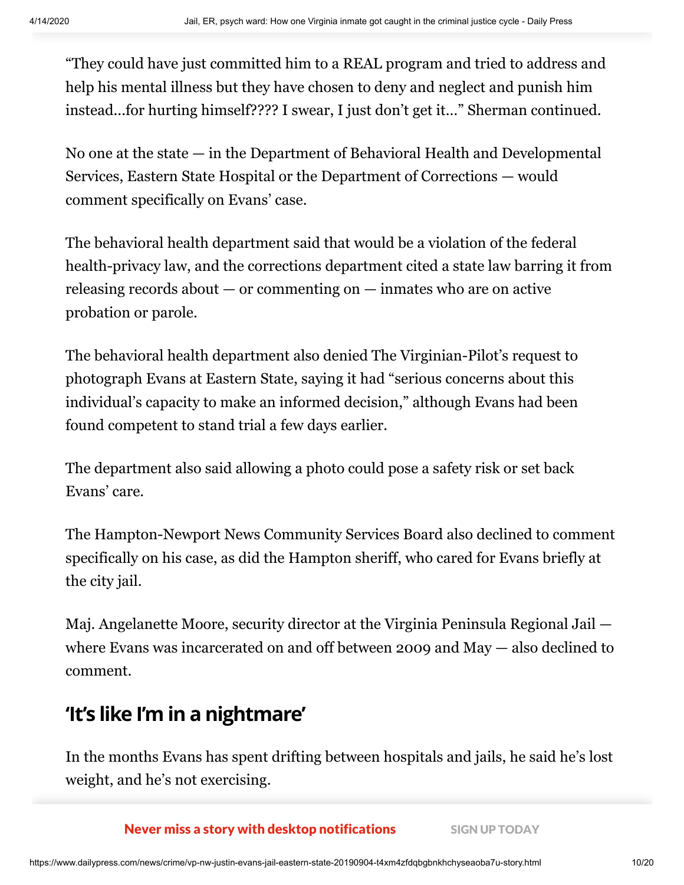"They could have just committed him to a REAL program and tried to address and help his mental illness but they have chosen to deny and neglect and punish him instead...for hurting himself???? I swear, I just don't get it…" Sherman continued.

No one at the state — in the Department of Behavioral Health and Developmental Services, Eastern State Hospital or the Department of Corrections — would comment specifically on Evans' case.

The behavioral health department said that would be a violation of the federal health-privacy law, and the corrections department cited a state law barring it from releasing records about — or commenting on — inmates who are on active probation or parole.

The behavioral health department also denied The Virginian-Pilot's request to photograph Evans at Eastern State, saying it had "serious concerns about this individual's capacity to make an informed decision," although Evans had been found competent to stand trial a few days earlier.

The department also said allowing a photo could pose a safety risk or set back Evans' care.

The Hampton-Newport News Community Services Board also declined to comment specifically on his case, as did the Hampton sheriff, who cared for Evans briefly at the city jail.

Maj. Angelanette Moore, security director at the Virginia Peninsula Regional Jail where Evans was incarcerated on and off between 2009 and May — also declined to comment.

# **'It's like I'm in a nightmare'**

In the months Evans has spent drifting between hospitals and jails, he said he's lost weight, and he's not exercising.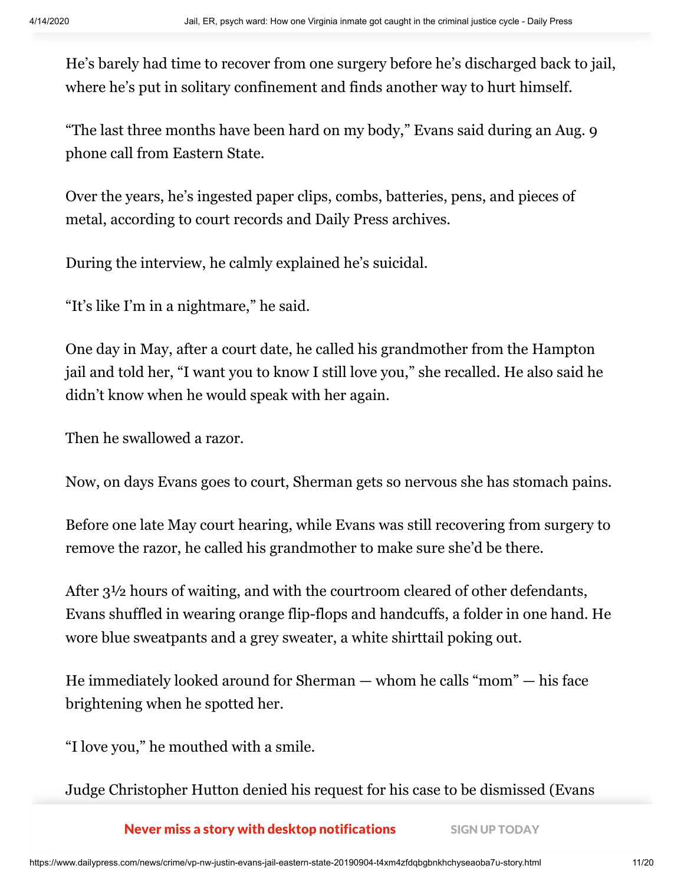He's barely had time to recover from one surgery before he's discharged back to jail, where he's put in solitary confinement and finds another way to hurt himself.

"The last three months have been hard on my body," Evans said during an Aug. 9 phone call from Eastern State.

Over the years, he's ingested paper clips, combs, batteries, pens, and pieces of metal, according to court records and Daily Press archives.

During the interview, he calmly explained he's suicidal.

"It's like I'm in a nightmare," he said.

One day in May, after a court date, he called his grandmother from the Hampton jail and told her, "I want you to know I still love you," she recalled. He also said he didn't know when he would speak with her again.

Then he swallowed a razor.

Now, on days Evans goes to court, Sherman gets so nervous she has stomach pains.

Before one late May court hearing, while Evans was still recovering from surgery to remove the razor, he called his grandmother to make sure she'd be there.

After  $3\frac{1}{2}$  hours of waiting, and with the courtroom cleared of other defendants, Evans shuffled in wearing orange flip-flops and handcuffs, a folder in one hand. He wore blue sweatpants and a grey sweater, a white shirttail poking out.

He immediately looked around for Sherman — whom he calls "mom" — his face brightening when he spotted her.

"I love you," he mouthed with a smile.

Judge Christopher Hutton denied his request for his case to be dismissed (Evans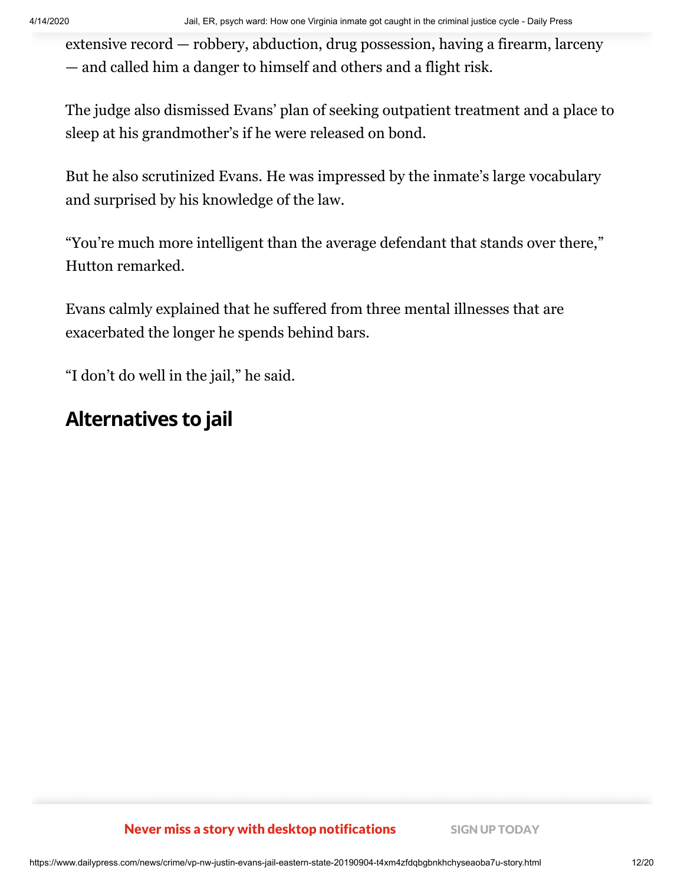extensive record — robbery, abduction, drug possession, having a firearm, larceny — and called him a danger to himself and others and a flight risk.

The judge also dismissed Evans' plan of seeking outpatient treatment and a place to sleep at his grandmother's if he were released on bond.

But he also scrutinized Evans. He was impressed by the inmate's large vocabulary and surprised by his knowledge of the law.

"You're much more intelligent than the average defendant that stands over there," Hutton remarked.

Evans calmly explained that he suffered from three mental illnesses that are exacerbated the longer he spends behind bars.

"I don't do well in the jail," he said.

# **Alternatives to jail**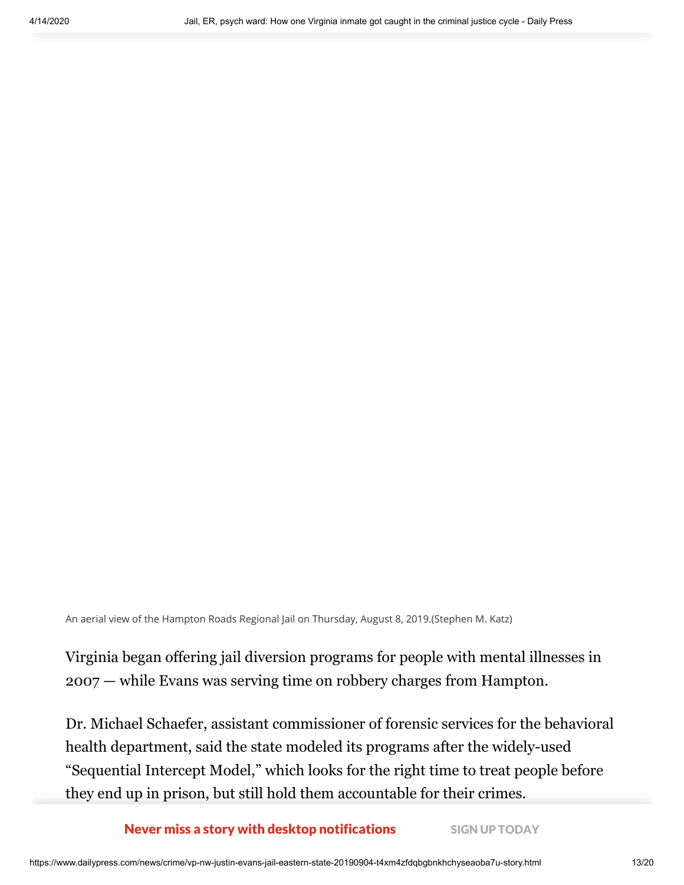An aerial view of the Hampton Roads Regional Jail on Thursday, August 8, 2019.(Stephen M. Katz)

Virginia began offering jail diversion programs for people with mental illnesses in 2007 — while Evans was serving time on robbery charges from Hampton.

Dr. Michael Schaefer, assistant commissioner of forensic services for the behavioral health department, said the state modeled its programs after the widely-used "Sequential Intercept Model," which looks for the right time to treat people before they end up in prison, but still hold them accountable for their crimes.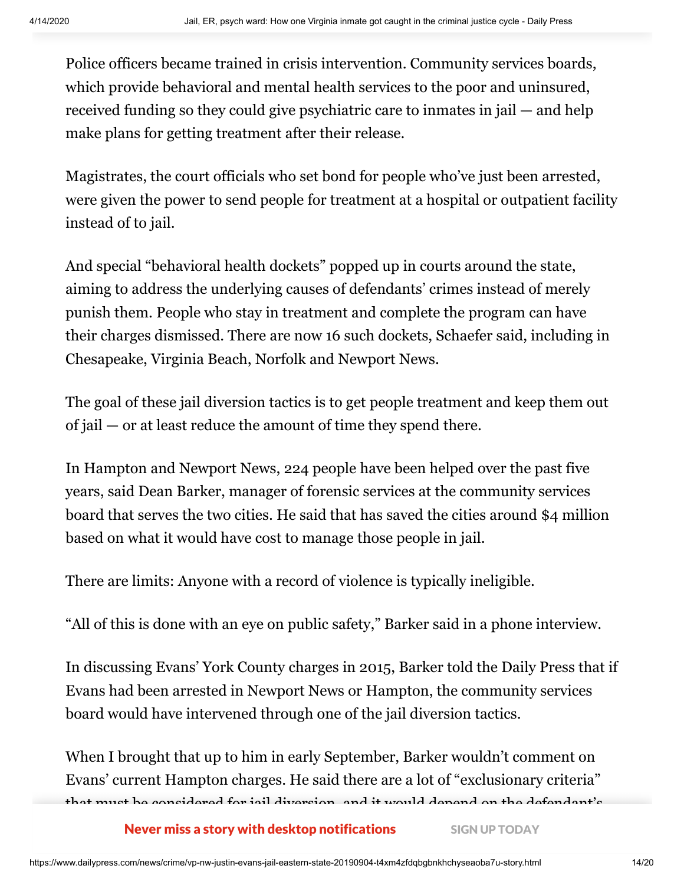Police officers became trained in crisis intervention. Community services boards, which provide behavioral and mental health services to the poor and uninsured, received funding so they could give psychiatric care to inmates in jail — and help make plans for getting treatment after their release.

Magistrates, the court officials who set bond for people who've just been arrested, were given the power to send people for treatment at a hospital or outpatient facility instead of to jail.

And special "behavioral health dockets" popped up in courts around the state, aiming to address the underlying causes of defendants' crimes instead of merely punish them. People who stay in treatment and complete the program can have their charges dismissed. There are now 16 such dockets, Schaefer said, including in Chesapeake, Virginia Beach, Norfolk and Newport News.

The goal of these jail diversion tactics is to get people treatment and keep them out of jail — or at least reduce the amount of time they spend there.

In Hampton and Newport News, 224 people have been helped over the past five years, said Dean Barker, manager of forensic services at the community services board that serves the two cities. He said that has saved the cities around \$4 million based on what it would have cost to manage those people in jail.

There are limits: Anyone with a record of violence is typically ineligible.

"All of this is done with an eye on public safety," Barker said in a phone interview.

In discussing Evans' York County charges in 2015, Barker told the Daily Press that if Evans had been arrested in Newport News or Hampton, the community services board would have intervened through one of the jail diversion tactics.

When I brought that up to him in early September, Barker wouldn't comment on Evans' current Hampton charges. He said there are a lot of "exclusionary criteria" that must be considered for jail diversion, and it would depend on the defendant's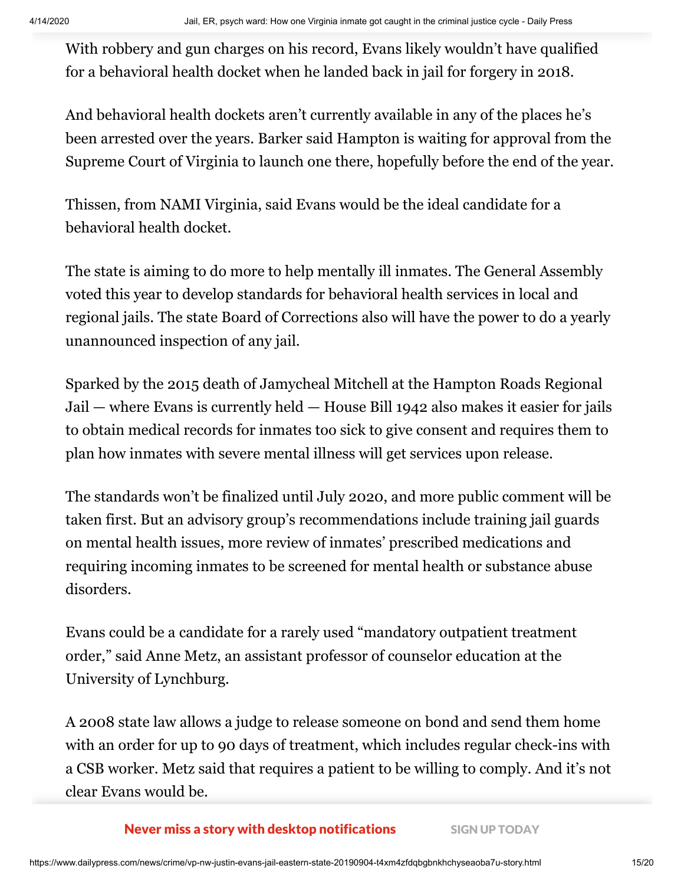With robbery and gun charges on his record, Evans likely wouldn't have qualified for a behavioral health docket when he landed back in jail for forgery in 2018.

And behavioral health dockets aren't currently available in any of the places he's been arrested over the years. Barker said Hampton is waiting for approval from the Supreme Court of Virginia to launch one there, hopefully before the end of the year.

Thissen, from NAMI Virginia, said Evans would be the ideal candidate for a behavioral health docket.

The state is aiming to do more to help mentally ill inmates. The General Assembly voted this year to develop standards for behavioral health services in local and regional jails. The state Board of Corrections also will have the power to do a yearly unannounced inspection of any jail.

Sparked by the 2015 death of Jamycheal Mitchell at the Hampton Roads Regional Jail — where Evans is currently held — House Bill 1942 also makes it easier for jails to obtain medical records for inmates too sick to give consent and requires them to plan how inmates with severe mental illness will get services upon release.

The standards won't be finalized until July 2020, and more public comment will be taken first. But an advisory group's recommendations include training jail guards on mental health issues, more review of inmates' prescribed medications and requiring incoming inmates to be screened for mental health or substance abuse disorders.

Evans could be a candidate for a rarely used "mandatory outpatient treatment order," said Anne Metz, an assistant professor of counselor education at the University of Lynchburg.

A 2008 state law allows a judge to release someone on bond and send them home with an order for up to 90 days of treatment, which includes regular check-ins with a CSB worker. Metz said that requires a patient to be willing to comply. And it's not clear Evans would be.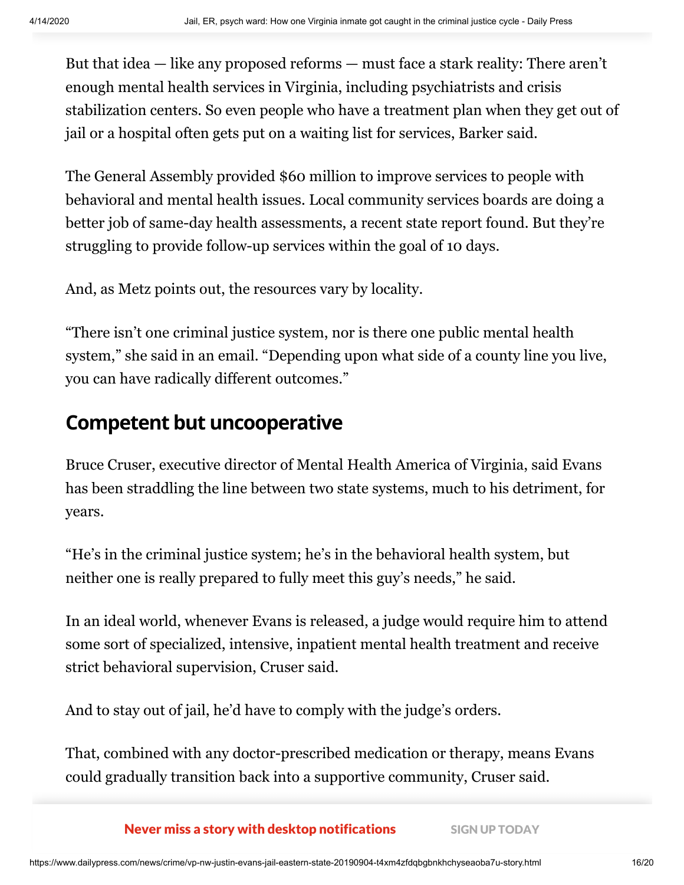But that idea — like any proposed reforms — must face a stark reality: There aren't enough mental health services in Virginia, including psychiatrists and crisis stabilization centers. So even people who have a treatment plan when they get out of jail or a hospital often gets put on a waiting list for services, Barker said.

The General Assembly provided \$60 million to improve services to people with behavioral and mental health issues. Local community services boards are doing a better job of same-day health assessments, a recent state report found. But they're struggling to provide follow-up services within the goal of 10 days.

And, as Metz points out, the resources vary by locality.

"There isn't one criminal justice system, nor is there one public mental health system," she said in an email. "Depending upon what side of a county line you live, you can have radically different outcomes."

## **Competent but uncooperative**

Bruce Cruser, executive director of Mental Health America of Virginia, said Evans has been straddling the line between two state systems, much to his detriment, for years.

"He's in the criminal justice system; he's in the behavioral health system, but neither one is really prepared to fully meet this guy's needs," he said.

In an ideal world, whenever Evans is released, a judge would require him to attend some sort of specialized, intensive, inpatient mental health treatment and receive strict behavioral supervision, Cruser said.

And to stay out of jail, he'd have to comply with the judge's orders.

That, combined with any doctor-prescribed medication or therapy, means Evans could gradually transition back into a supportive community, Cruser said.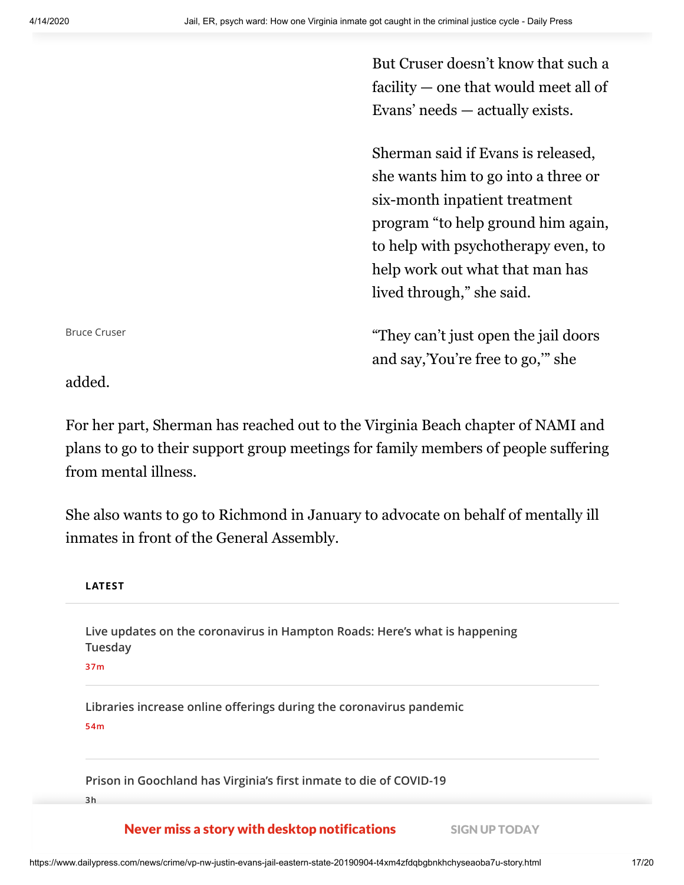But Cruser doesn't know that such a facility — one that would meet all of Evans' needs — actually exists.

Sherman said if Evans is released, she wants him to go into a three or six-month inpatient treatment program "to help ground him again, to help with psychotherapy even, to help work out what that man has lived through," she said.

"They can't just open the jail doors and say,'You're free to go,'" she

Bruce Cruser

added.

For her part, Sherman has reached out to the Virginia Beach chapter of NAMI and plans to go to their support group meetings for family members of people suffering from mental illness.

She also wants to go to Richmond in January to advocate on behalf of mentally ill inmates in front of the General Assembly.

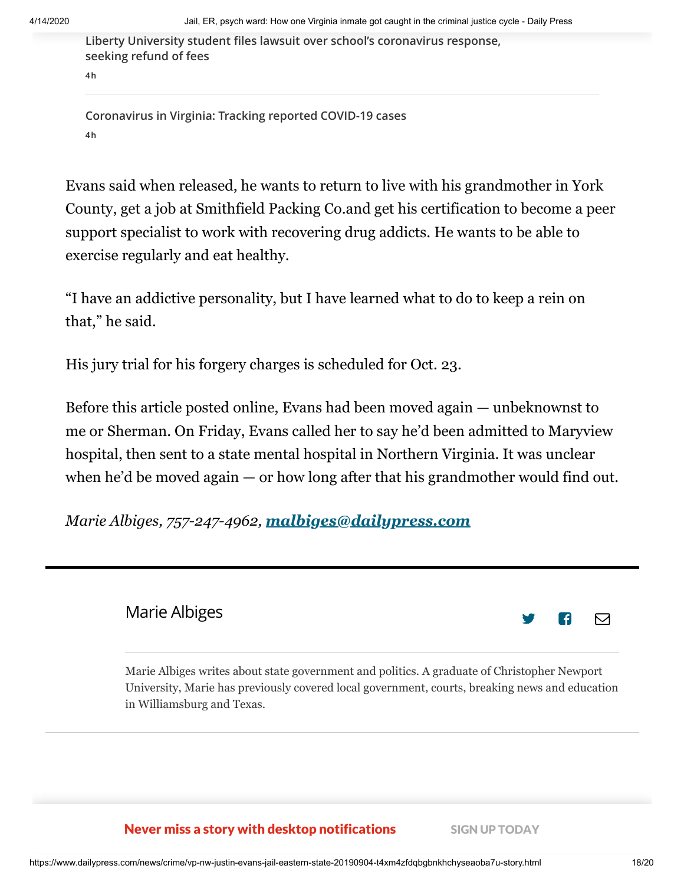**[Liberty University student files lawsuit over school's coronavirus response,](https://www.dailypress.com/news/health/vp-nw-liberty-university-lawsuit-20200414-ivx64bvbeffklg52lb5halguuq-story.html#nt=latestnews&rt=chartbeat-flt) seeking refund of fees**

**4h**

**[Coronavirus in Virginia: Tracking reported COVID-19 cases](https://www.dailypress.com/news/health/vp-nw-coronavirus-virginia-tracking-cases-20200315-hwasfeeewbdbbcol2pcwtosqri-story.html#nt=latestnews&rt=chartbeat-flt) 4h**

Evans said when released, he wants to return to live with his grandmother in York County, get a job at Smithfield Packing Co.and get his certification to become a peer support specialist to work with recovering drug addicts. He wants to be able to exercise regularly and eat healthy.

"I have an addictive personality, but I have learned what to do to keep a rein on that," he said.

His jury trial for his forgery charges is scheduled for Oct. 23.

Before this article posted online, Evans had been moved again — unbeknownst to me or Sherman. On Friday, Evans called her to say he'd been admitted to Maryview hospital, then sent to a state mental hospital in Northern Virginia. It was unclear when he'd be moved again — or how long after that his grandmother would find out.

*Marie Albiges, 757-247-4962, [malbiges@dailypress.com](mailto:malbiges@dailypress.com)*

### Marie [Albiges](https://www.dailypress.com/dp-marie-albiges-staff.html#nt=author-bio)

⊠

Marie Albiges writes about state government and politics. A graduate of Christopher Newport University, Marie has previously covered local government, courts, breaking news and education in Williamsburg and Texas.

**If Your Dog Easts Draw Industry With desktop notifications** SIGN UP TODAY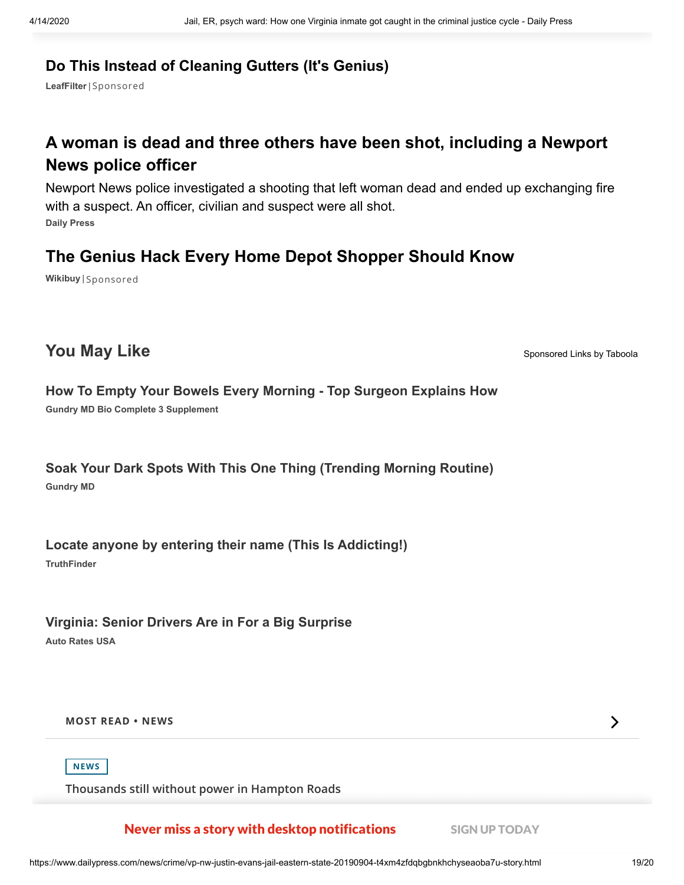### **[Do This Instead of Cleaning Gutters \(It's Genius\)](http://www.mnbasd77.com/aff_c?offer_id=2024&aff_id=2592&url_id=6346&source=Bul&aff_sub=2563758_states-aud-desk&aff_sub2=tribunedigital-dailypress-1008948&aff_sub3=2875725951_Name&utm_source=taboola&utm_medium=referral)**

**LeafFilter**| [Sponsored](https://popup.taboola.com/en/?template=colorbox&utm_source=tribunedigital-dailypress&utm_medium=referral&utm_content=thumbs-feed-01-a:below-article-thumbs_ARC%20|%20Card%201:)

### **[A woman is dead and three others have been shot, including a Newport](https://www.dailypress.com/dailypress/dp-nws-newport-news-shooting-0817-story.html#nt=taboola-feed) News police officer**

**Daily Press** Newport News police investigated a shooting that left woman dead and ended up exchanging fire with a suspect. An officer, civilian and suspect were all shot.

### **[The Genius Hack Every Home Depot Shopper Should Know](https://wikibuy.com/blog/how-i-save-money-on-construction-supplies-c13a8e42b3cd?hno=true&utm_source=jaguar11&utm_campaign=1986200&utm_term=188971727)**

**Wikibuy** | [Sponsored](https://popup.taboola.com/en/?template=colorbox&utm_source=tribunedigital-dailypress&utm_medium=referral&utm_content=thumbs-feed-01:below-article-thumbs_ARC%20|%20Card%203:)

### **You May Like** [Sponsored Links](https://popup.taboola.com/en/?template=colorbox&utm_source=tribunedigital-dailypress&utm_medium=referral&utm_content=thumbnails-rr2:taboola-right-rail-thumbnails_arc:) [by Taboola](https://popup.taboola.com/en/?template=colorbox&utm_source=tribunedigital-dailypress&utm_medium=referral&utm_content=thumbnails-rr2:taboola-right-rail-thumbnails_arc:)

### **[How To Empty Your Bowels Every Morning - Top Surgeon Explains How](http://gundrymd.com/cmd.php?ad=941454&utm_source=taboola&utm_medium=referral)**

**Gundry MD Bio Complete 3 Supplement**

#### **Gundry MD [Soak Your Dark Spots With This One Thing \(Trending Morning Routine\)](http://gundrymd.com/cmd.php?ad=822792&utm_source=taboola&utm_medium=referral)**

**[Locate anyone by entering their name \(This Is Addicting!\)](https://tracking.truthfinder.com/?a=102&oc=27&c=396&s1=CM-RON&s2=AG-Desktop&s3=CRE-GloriaStairsHandUp+LocateAnyone&s4=LP-396&utm_source=taboola&utm_medium=referral)**

**TruthFinder**

**[Virginia: Senior Drivers Are in For a Big Surprise](https://autoratesusa.com/articles/seniors-low-mileage?utm_source=Taboola_ins&utm_medium=tribunedigital-dailypress&utm_term=Virginia%3A+Senior+Drivers+Are+in+For+a+Big+Surprise&utm_campaign=3178067&s=400&device=Desktop&adposition=http%3A%2F%2Fcdn.taboola.com%2Flibtrc%2Fstatic%2Fthumbnails%2Fa1a6080345f3628718d0891701482061.jpg&gclid=2887041753)**

**Auto Rates USA**

**MOST READ • [NEWS](https://www.dailypress.com/trending#nt=recommender-header)**



**[Thousands still without power in Hampton Roads](https://www.dailypress.com/news/vp-nw-power-outages-20200414-6lums2cglnfwjbwpyw3q4a3vye-story.html#nt=latestnews&rt=chartbeat-flt)**

Never miss a story with desktop notifications SIGN UP TODAY

 $\sum$